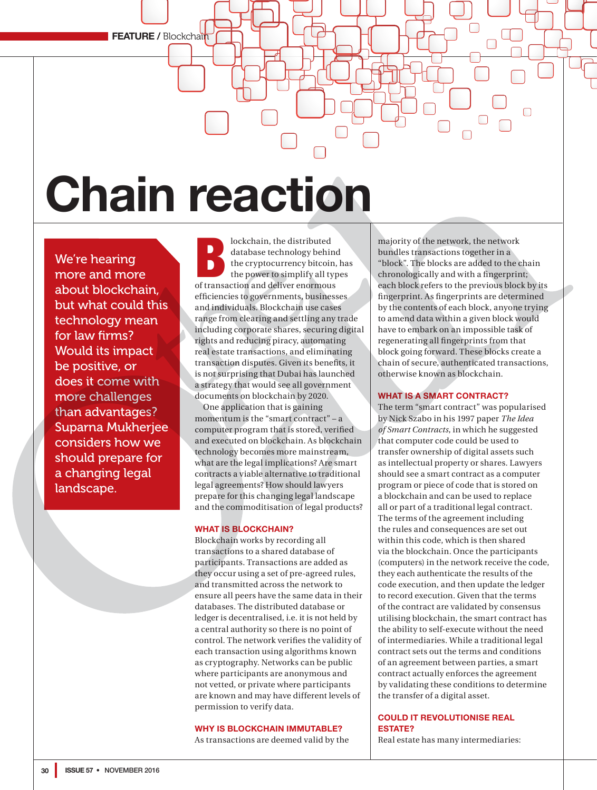**FEATURE / Blockchain** 

# **Chain reaction**

We're hearing more and more about blockchain, but what could this technology mean for law firms? Would its impact be positive, or does it come with more challenges than advantages? Suparna Mukherjee considers how we should prepare for a changing legal landscape.

**blockchain, the distributed database technology behind**<br>the cryptocurrency bitcoin, the power to simplify all type<br>of transaction and deliver enormous database technology behind the cryptocurrency bitcoin, has the power to simplify all types efficiencies to governments, businesses and individuals. Blockchain use cases range from clearing and settling any trade including corporate shares, securing digital rights and reducing piracy, automating real estate transactions, and eliminating transaction disputes. Given its benefits, it is not surprising that Dubai has launched a strategy that would see all government documents on blockchain by 2020.

One application that is gaining momentum is the "smart contract" – a computer program that is stored, verified and executed on blockchain. As blockchain technology becomes more mainstream, what are the legal implications? Are smart contracts a viable alternative to traditional legal agreements? How should lawyers prepare for this changing legal landscape and the commoditisation of legal products?

## **WHAT IS BLOCKCHAIN?**

Blockchain works by recording all transactions to a shared database of participants. Transactions are added as they occur using a set of pre-agreed rules, and transmitted across the network to ensure all peers have the same data in their databases. The distributed database or ledger is decentralised, i.e. it is not held by a central authority so there is no point of control. The network verifies the validity of each transaction using algorithms known as cryptography. Networks can be public where participants are anonymous and not vetted, or private where participants are known and may have different levels of permission to verify data.

# **WHY IS BLOCKCHAIN IMMUTABLE?**

As transactions are deemed valid by the

majority of the network, the network bundles transactions together in a "block". The blocks are added to the chain chronologically and with a fingerprint; each block refers to the previous block by its fingerprint. As fingerprints are determined by the contents of each block, anyone trying to amend data within a given block would have to embark on an impossible task of regenerating all fingerprints from that block going forward. These blocks create a chain of secure, authenticated transactions, otherwise known as blockchain.

## **WHAT IS A SMART CONTRACT?**

The term "smart contract" was popularised by Nick Szabo in his 1997 paper *The Idea of Smart Contracts*, in which he suggested that computer code could be used to transfer ownership of digital assets such as intellectual property or shares. Lawyers should see a smart contract as a computer program or piece of code that is stored on a blockchain and can be used to replace all or part of a traditional legal contract. The terms of the agreement including the rules and consequences are set out within this code, which is then shared via the blockchain. Once the participants (computers) in the network receive the code, they each authenticate the results of the code execution, and then update the ledger to record execution. Given that the terms of the contract are validated by consensus utilising blockchain, the smart contract has the ability to self-execute without the need of intermediaries. While a traditional legal contract sets out the terms and conditions of an agreement between parties, a smart contract actually enforces the agreement by validating these conditions to determine the transfer of a digital asset.

# **COULD IT REVOLUTIONISE REAL ESTATE?**

Real estate has many intermediaries: